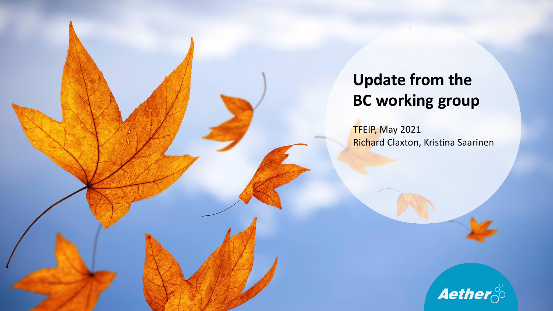## **Update from the BC working group**

TFEIP, May 2021 Richard Claxton, Kristina Saarinen

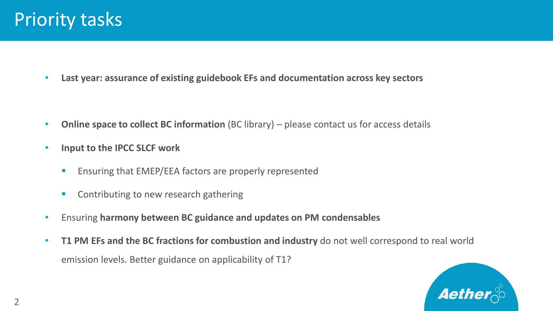• **Last year: assurance of existing guidebook EFs and documentation across key sectors**

- **Online space to collect BC information** (BC library) please contact us for access details
- **Input to the IPCC SLCF work**
	- Ensuring that EMEP/EEA factors are properly represented
	- Contributing to new research gathering
- Ensuring **harmony between BC guidance and updates on PM condensables**
- **T1 PM EFs and the BC fractions for combustion and industry** do not well correspond to real world emission levels. Better guidance on applicability of T1?

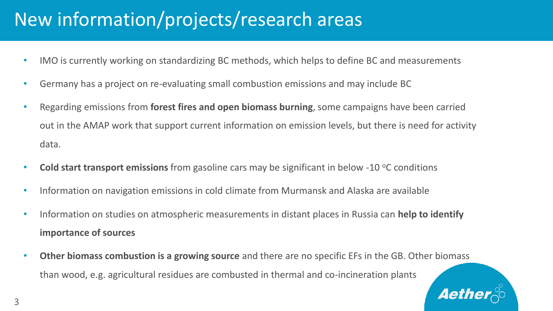## New information/projects/research areas

- IMO is currently working on standardizing BC methods, which helps to define BC and measurements
- Germany has a project on re-evaluating small combustion emissions and may include BC
- Regarding emissions from **forest fires and open biomass burning**, some campaigns have been carried out in the AMAP work that support current information on emission levels, but there is need for activity data.
- **Cold start transport emissions** from gasoline cars may be significant in below -10 °C conditions
- Information on navigation emissions in cold climate from Murmansk and Alaska are available
- Information on studies on atmospheric measurements in distant places in Russia can **help to identify importance of sources**
- **Other biomass combustion is a growing source** and there are no specific EFs in the GB. Other biomass than wood, e.g. agricultural residues are combusted in thermal and co-incineration plants